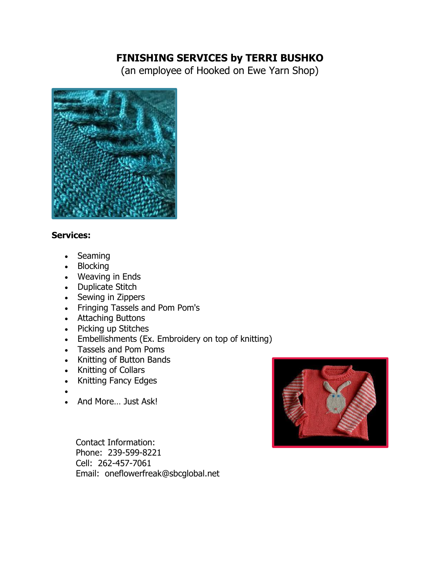# **FINISHING SERVICES by TERRI BUSHKO**

(an employee of Hooked on Ewe Yarn Shop)



### **Services:**

- Seaming
- Blocking
- Weaving in Ends
- Duplicate Stitch
- Sewing in Zippers
- Fringing Tassels and Pom Pom's
- Attaching Buttons
- Picking up Stitches
- Embellishments (Ex. Embroidery on top of knitting)
- Tassels and Pom Poms
- Knitting of Button Bands
- Knitting of Collars
- Knitting Fancy Edges
- •
- And More… Just Ask!

 Contact Information: Phone: 239-599-8221 Cell: 262-457-7061 Email: oneflowerfreak@sbcglobal.net